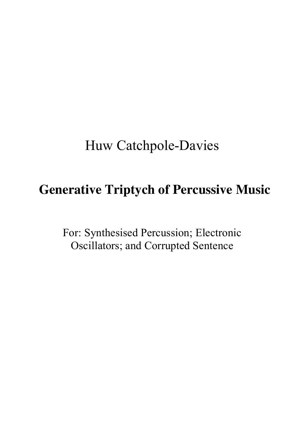# Huw Catchpole-Davies

# **Generative Triptych of Percussive Music**

For: Synthesised Percussion; Electronic Oscillators; and Corrupted Sentence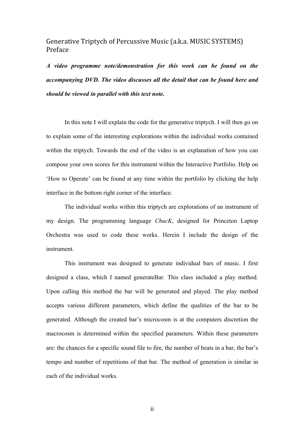# Generative Triptych of Percussive Music (a.k.a. MUSIC SYSTEMS) Preface

*A video programme note/demonstration for this work can be found on the accompanying DVD. The video discusses all the detail that can be found here and should be viewed in parallel with this text note.*

In this note I will explain the code for the generative triptych. I will then go on to explain some of the interesting explorations within the individual works contained within the triptych. Towards the end of the video is an explanation of how you can compose your own scores for this instrument within the Interactive Portfolio. Help on 'How to Operate' can be found at any time within the portfolio by clicking the help interface in the bottom right corner of the interface.

The individual works within this triptych are explorations of an instrument of my design. The programming language *ChucK*, designed for Princeton Laptop Orchestra was used to code these works. Herein I include the design of the instrument.

This instrument was designed to generate individual bars of music. I first designed a class, which I named generateBar. This class included a play method. Upon calling this method the bar will be generated and played. The play method accepts various different parameters, which define the qualities of the bar to be generated. Although the created bar's microcosm is at the computers discretion the macrocosm is determined within the specified parameters. Within these parameters are: the chances for a specific sound file to fire, the number of beats in a bar, the bar's tempo and number of repetitions of that bar. The method of generation is similar in each of the individual works.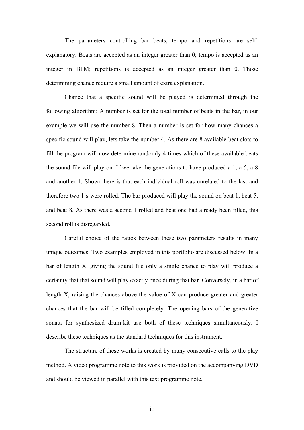The parameters controlling bar beats, tempo and repetitions are selfexplanatory. Beats are accepted as an integer greater than 0; tempo is accepted as an integer in BPM; repetitions is accepted as an integer greater than 0. Those determining chance require a small amount of extra explanation.

Chance that a specific sound will be played is determined through the following algorithm: A number is set for the total number of beats in the bar, in our example we will use the number 8. Then a number is set for how many chances a specific sound will play, lets take the number 4. As there are 8 available beat slots to fill the program will now determine randomly 4 times which of these available beats the sound file will play on. If we take the generations to have produced a 1, a 5, a 8 and another 1. Shown here is that each individual roll was unrelated to the last and therefore two 1's were rolled. The bar produced will play the sound on beat 1, beat 5, and beat 8. As there was a second 1 rolled and beat one had already been filled, this second roll is disregarded.

Careful choice of the ratios between these two parameters results in many unique outcomes. Two examples employed in this portfolio are discussed below. In a bar of length X, giving the sound file only a single chance to play will produce a certainty that that sound will play exactly once during that bar. Conversely, in a bar of length X, raising the chances above the value of X can produce greater and greater chances that the bar will be filled completely. The opening bars of the generative sonata for synthesized drum-kit use both of these techniques simultaneously. I describe these techniques as the standard techniques for this instrument.

The structure of these works is created by many consecutive calls to the play method. A video programme note to this work is provided on the accompanying DVD and should be viewed in parallel with this text programme note.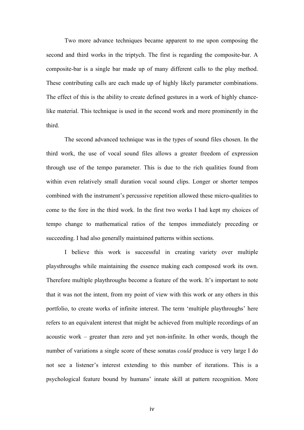Two more advance techniques became apparent to me upon composing the second and third works in the triptych. The first is regarding the composite-bar. A composite-bar is a single bar made up of many different calls to the play method. These contributing calls are each made up of highly likely parameter combinations. The effect of this is the ability to create defined gestures in a work of highly chancelike material. This technique is used in the second work and more prominently in the third.

The second advanced technique was in the types of sound files chosen. In the third work, the use of vocal sound files allows a greater freedom of expression through use of the tempo parameter. This is due to the rich qualities found from within even relatively small duration vocal sound clips. Longer or shorter tempos combined with the instrument's percussive repetition allowed these micro-qualities to come to the fore in the third work. In the first two works I had kept my choices of tempo change to mathematical ratios of the tempos immediately preceding or succeeding. I had also generally maintained patterns within sections.

I believe this work is successful in creating variety over multiple playsthroughs while maintaining the essence making each composed work its own. Therefore multiple playthroughs become a feature of the work. It's important to note that it was not the intent, from my point of view with this work or any others in this portfolio, to create works of infinite interest. The term 'multiple playthroughs' here refers to an equivalent interest that might be achieved from multiple recordings of an acoustic work – greater than zero and yet non-infinite. In other words, though the number of variations a single score of these sonatas *could* produce is very large I do not see a listener's interest extending to this number of iterations. This is a psychological feature bound by humans' innate skill at pattern recognition. More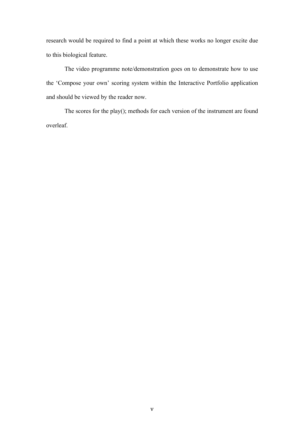research would be required to find a point at which these works no longer excite due to this biological feature.

The video programme note/demonstration goes on to demonstrate how to use the 'Compose your own' scoring system within the Interactive Portfolio application and should be viewed by the reader now.

The scores for the play(); methods for each version of the instrument are found overleaf.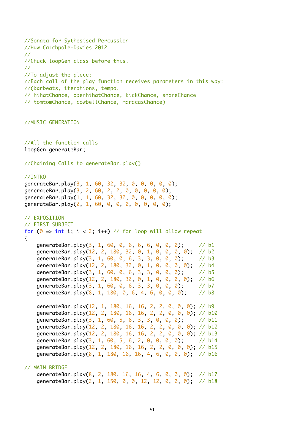```
//Sonata for Sythesised Percussion
//Huw Catchpole-Davies 2012
//
//ChucK loopGen class before this.
//
//To adjust the piece:
//Each call of the play function receives parameters in this way:
//(barbeats, iterations, tempo, 
// hihatChance, openhihatChance, kickChance, snareChance
// tomtomChance, cowbellChance, maracasChance)
//MUSIC GENERATION 
//All the function calls
loopGen generateBar;
//Chaining Calls to generateBar.play()
//INTRO 
generateBar.play(3, 1, 60, 32, 32, 0, 0, 0, 0, 0);
generateBar.play(3, 2, 60, 2, 2, 0, 0, 0, 0, 0);
generateBar.play(1, 1, 60, 32, 32, 0, 0, 0, 0, 0);
generateBar.play(2, 1, 60, 0, 0, 0, 0, 0, 0, 0);
// EXPOSITION
// FIRST SUBJECT 
for (0 \Rightarrow \text{int } i; i < 2; i++) // for loop will allow repeat
{
    generateBar.play(3, 1, 60, 0, 6, 6, 6, 0, 0, 0); // b1
     generateBar.play(12, 2, 180, 32, 0, 1, 0, 0, 0, 0); // b2
    generateBar.play(3, 1, 60, 0, 6, 3, 3, 0, 0, 0); // b3
     generateBar.play(12, 2, 180, 32, 0, 1, 0, 0, 0, 0); // b4
     generateBar.play(3, 1, 60, 0, 6, 3, 3, 0, 0, 0); // b5
    generateBar.play(12, 2, 180, 32, 0, 1, 0, 0, 0, 0); // b6<br>generateBar.play(3, 1, 60, 0, 6, 3, 3, 0, 0, 0): // h7
    generateBar.play(3, 1, 60, 0, 6, 3, 3, 0, 0, 0); generateBar.play(8, 1, 180, 0, 6, 4, 6, 0, 0, 0); // b8
     generateBar.play(12, 1, 180, 16, 16, 2, 2, 0, 0, 0); // b9
    generateBar.play(12, 2, 180, 16, 16, 2, 2, 0, 0, 0); // b10
    generateBar.play(3, 1, 60, 5, 6, 3, 3, 0, 0, 0); // b11
    generateBar.play(12, 2, 180, 16, 16, 2, 2, 0, 0, 0); // b12
     generateBar.play(12, 2, 180, 16, 16, 2, 2, 0, 0, 0); // b13
    generateBar.play(3, 1, 60, 5, 6, 2, 0, 0, 0, 0); // b14
     generateBar.play(12, 2, 180, 16, 16, 2, 2, 0, 0, 0); // b15
     generateBar.play(8, 1, 180, 16, 16, 4, 6, 0, 0, 0); // b16
// MAIN BRIDGE 
     generateBar.play(8, 2, 180, 16, 16, 4, 6, 0, 0, 0); // b17
     generateBar.play(2, 1, 150, 0, 0, 12, 12, 0, 0, 0); // b18
```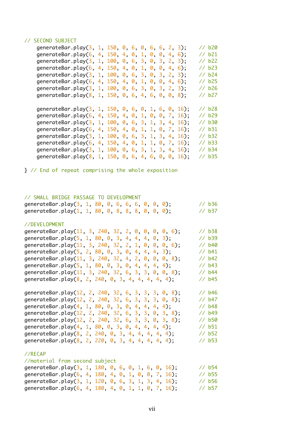## // SECOND SUBJECT

| generateBar.play(3, 1, 150, 0, 6, 0, 6, 6, 2, 3);      |  |  |  |  |  | // b20   |
|--------------------------------------------------------|--|--|--|--|--|----------|
| generateBar.play(6, 4, 150, 4, 0, 1, 0, 0, 4, 6);      |  |  |  |  |  | // b21   |
| generateBar.play(3, 1, 100, 0, 6, 3, 0, 3, 2, 3);      |  |  |  |  |  | // b22   |
| generateBar.play(6, 4, 150, 4, 0, 1, 0, 0, 4, 6);      |  |  |  |  |  | // b23   |
| generateBar.play(3, 1, 100, 0, 6, 3, 0, 3, 2, 3);      |  |  |  |  |  | // b24   |
| generateBar.play(6, 4, 150, 4, 0, 1, 0, 0, 4, 6);      |  |  |  |  |  | // b25   |
| generateBar.play(3, 1, 100, 0, 6, 3, 0, 3, 2, 3);      |  |  |  |  |  | // b26   |
| generateBar.play(8, 1, 150, 0, 6, 4, 6, 0, 0, 8);      |  |  |  |  |  | // b27   |
| generateBar.play(3, 1, 150, 0, 6, 0, 1, 6, 0, 16);     |  |  |  |  |  | // b28   |
| generateBar.play(6, 4, 150, 4, 0, 1, 0, 0, 7, 16);     |  |  |  |  |  | $1/$ b29 |
| generateBar.play(3, 1, 100, 0, 6, 3, 1, 3, 4, 16);     |  |  |  |  |  | $1/$ b30 |
| generateBar.play(6, 4, 150, 4, 0, 1, 1, 0, 7, 16);     |  |  |  |  |  | // b31   |
| generateBar.play $(3, 1, 100, 0, 6, 3, 1, 3, 4, 16)$ ; |  |  |  |  |  | // b32   |
|                                                        |  |  |  |  |  |          |
| generateBar.play(6, 4, 150, 4, 0, 1, 1, 0, 7, 16);     |  |  |  |  |  | // b33   |
| generateBar.play(3, 1, 100, 0, 6, 3, 1, 3, 4, 16);     |  |  |  |  |  | // b34   |

} // End of repeat comprising the whole exposition

## // SMALL BRIDGE PASSAGE TO DEVELOPMENT

| generateBar.play $(3, 1, 80, 0, 6, 6, 6, 0, 0, 0)$ ; |  |  |  |  |  | // b36 |
|------------------------------------------------------|--|--|--|--|--|--------|
| generateBar.play $(1, 1, 80, 0, 8, 8, 8, 0, 0, 0)$ ; |  |  |  |  |  | // b37 |

### //DEVELOPMENT

| generateBar.play(11, 3, 240, 32, 2, 0, 0, 0, 0, 6); | // b38            |
|-----------------------------------------------------|-------------------|
| generateBar.play(5, 1, 80, 0, 3, 4, 4, 4, 0, 3);    | // b39            |
| generateBar.play(11, 3, 240, 32, 2, 1, 0, 0, 0, 6); | // b40            |
| generateBar.play(5, 2, 80, 0, 3, 0, 4, 4, 4, 3);    | // b41            |
| generateBar.play(11, 3, 240, 32, 4, 2, 0, 0, 0, 8); | // b42            |
| generateBar.play(5, 1, 80, 0, 3, 0, 4, 4, 4, 4);    | // <sub>b43</sub> |
| generateBar.play(11, 3, 240, 32, 6, 3, 3, 0, 0, 8); | // <sub>b44</sub> |
| generateBar.play(8, 2, 240, 0, 3, 4, 4, 4, 4, 4);   | // <sub>b45</sub> |
|                                                     |                   |

generateBar.play(12, 2, 240, 32, 6, 3, 3, 3, 0, 8); // b46 generateBar.play(12, 2, 240, 32, 6, 3, 3, 3, 0, 8); // b47 generateBar.play(4, 1, 80, 0, 3, 0, 4, 4, 4, 4);<br>generateBar.play(12, 2, 240, 32, 6, 3, 3, 0, 3, 8); // b49 generateBar.play(12, 2, 240, 32, 6, 3, 3, 0, 3, 8); generateBar.play(12, 2, 240, 32, 6, 3, 3, 0, 3, 8); // b50 generateBar.play(4, 1, 80, 0, 3, 0, 4, 4, 4, 4); // b51 generateBar.play(8, 2, 240, 0, 3, 4, 4, 4, 4, 4); // b52 generateBar.play(8, 2, 220, 0, 3, 4, 4, 4, 4, 4); // b53

### //RECAP

| //material from second subject                     |  |  |                    |
|----------------------------------------------------|--|--|--------------------|
| generateBar.play(3, 1, 180, 0, 6, 0, 1, 6, 0, 16); |  |  | $\frac{7}{16}$ b54 |
| generateBar.play(6, 4, 180, 4, 0, 1, 0, 0, 7, 16); |  |  | $\frac{7}{16}$ b55 |
| generateBar.play(3, 1, 120, 0, 6, 3, 1, 3, 4, 16); |  |  | $\frac{7}{16}$ b56 |
| generateBar.play(6, 4, 180, 4, 0, 1, 1, 0, 7, 16); |  |  | // b57             |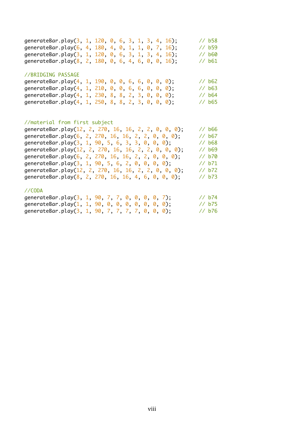| generateBar.play(3, 1, 120, 0, 6, 3, 1, 3, 4, 16); |  |  |  |  |  | // b58            |
|----------------------------------------------------|--|--|--|--|--|-------------------|
| generateBar.play(6, 4, 180, 4, 0, 1, 1, 0, 7, 16); |  |  |  |  |  | // b59            |
| generateBar.play(3, 1, 120, 0, 6, 3, 1, 3, 4, 16); |  |  |  |  |  | 1/660             |
| generateBar.play(8, 2, 180, 0, 6, 4, 6, 0, 0, 16); |  |  |  |  |  | // b61            |
|                                                    |  |  |  |  |  |                   |
| //BRIDGING PASSAGE                                 |  |  |  |  |  |                   |
| generateBar.play(4, 1, 190, 0, 0, 6, 6, 0, 0, 0);  |  |  |  |  |  | $\frac{1}{6}$ b62 |
| generateBar.play(4, 1, 210, 0, 0, 6, 6, 0, 0, 0);  |  |  |  |  |  | // b63            |
| generateBar.play(4, 1, 230, 8, 8, 2, 3, 0, 0, 0);  |  |  |  |  |  | $\frac{7}{6}$ b64 |
| generateBar.play(4, 1, 250, 8, 8, 2, 3, 0, 0, 0);  |  |  |  |  |  | $\frac{7}{6}$ b65 |

# //material from first subject

| generateBar.play(12, 2, 270, 16, 16, 2, 2, 0, 0, 0); | // <sub>b66</sub> |
|------------------------------------------------------|-------------------|
| generateBar.play(6, 2, 270, 16, 16, 2, 2, 0, 0, 0);  | $1/1$ b67         |
| generateBar.play(3, 1, 90, 5, 6, 3, 3, 0, 0, 0);     | // <sub>b68</sub> |
| generateBar.play(12, 2, 270, 16, 16, 2, 2, 0, 0, 0); | // b69            |
| generateBar.play(6, 2, 270, 16, 16, 2, 2, 0, 0, 0);  | // b70            |
| generateBar.play(3, 1, 90, 5, 6, 2, 0, 0, 0, 0);     | // b71            |
| generateBar.play(12, 2, 270, 16, 16, 2, 2, 0, 0, 0); | // b72            |
| generateBar.play(8, 2, 270, 16, 16, 4, 6, 0, 0, 0);  | // b73            |
|                                                      |                   |
|                                                      |                   |

# //CODA

| generateBar.play(3, 1, 90, 7, 7, 0, 0, 0, 0, 7);     |  |  |  |  | // b74 |  |
|------------------------------------------------------|--|--|--|--|--------|--|
| generateBar.play $(1, 1, 90, 0, 0, 0, 0, 0, 0)$ ;    |  |  |  |  | // b75 |  |
| generateBar.play $(3, 1, 90, 7, 7, 7, 7, 0, 0, 0)$ ; |  |  |  |  | // b76 |  |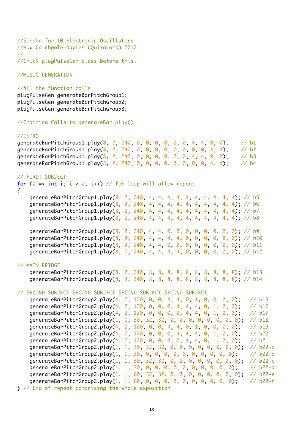```
//Sonata for 10 Electronic Oscillators
//Huw Catchpole-Davies (Quixatocs) 2012
//
//ChucK plugPulseGen class before this.
```
//MUSIC GENERATION

```
//All the function calls
```
plugPulseGen generateBarPitchGroup1; plugPulseGen generateBarPitchGroup2; plugPulseGen generateBarPitchGroup3;

```
//Chaining Calls to generateBar.play()
```
## //INTRO

| qenerateBarPitchGroup1.play(8, 2, 240, 0, 0, 0, 0, 0, 0, 4, 4, 0, 0); |  |  |  |  |  |  | // b1 |
|-----------------------------------------------------------------------|--|--|--|--|--|--|-------|
| qenerateBarPitchGroup1.play(8, 2, 240, 0, 0, 0, 0, 0, 0, 0, 0, 4, 4); |  |  |  |  |  |  | // b2 |
| qenerateBarPitchGroup1.play(8, 2, 240, 0, 0, 0, 0, 0, 0, 4, 4, 0, 0); |  |  |  |  |  |  | 1/103 |
| generateBarPitchGroup1.play(8, 2, 240, 0, 0, 0, 0, 0, 0, 0, 0, 4, 4); |  |  |  |  |  |  | // b4 |

## // FIRST SUBJECT

for ( $0 \Rightarrow \text{int } i$ ;  $i < 2$ ;  $i++)$  // for loop will allow repeat { generateBarPitchGroup1.play(8, 2, 240, 4, 4, 4, 4, 4, 4, 4, 4, 4, 4); // b5 generateBarPitchGroup1.play(8, 2, 240, 4, 4, 4, 4, 4, 4, 4, 4, 4, 4); // b6 generateBarPitchGroup1.play(8, 2, 240, 4, 4, 4, 4, 4, 4, 4, 4, 4, 4); // b7 generateBarPitchGroup1.play(8, 2, 240, 4, 4, 4, 4, 4, 4, 4, 4, 4, 4); // b8 generateBarPitchGroup1.play(8, 2, 240, 4, 4, 0, 0, 0, 0, 0, 0, 0, 0); // b9 generateBarPitchGroup1.play(8, 2, 240, 4, 4, 4, 4, 0, 0, 0, 0, 0, 0); // b10 generateBarPitchGroup1.play(8, 2, 240, 4, 4, 0, 0, 0, 0, 0, 0, 0, 0); // b11 generateBarPitchGroup1.play(8, 2, 240, 4, 4, 4, 4, 0, 0, 0, 0, 0, 0); // b12 // MAIN BRIDGE generateBarPitchGroup1.play(8, 2, 240, 8, 8, 8, 8, 8, 8, 8, 8, 8, 8); // b13 generateBarPitchGroup1.play(8, 2, 240, 8, 8, 8, 8, 8, 8, 8, 8, 8, 8); // b14 // SECOND SUBJECT SECOND SUBJECT SECOND SUBJECT SECOND SUBJECT generateBarPitchGroup2.play(4, 2, 120, 0, 0, 4, 4, 0, 1, 0, 0, 0, 0); // b15 generateBarPitchGroup2.play(4, 2, 120, 0, 0, 0, 4, 4, 4, 0, 1, 0, 0); // b16

generateBarPitchGroup2.play(4, 2, 120, 0, 0, 0, 0, 4, 4, 0, 1, 0, 0); // b17 generateBarPitchGroup2.play(1, 1, 30, 32, 32, 0, 0, 0, 0, 0, 0, 0, 0); // b18 generateBarPitchGroup2.play(4, 2, 120, 0, 0, 4, 4, 0, 1, 0, 0, 0, 0); // b19 generateBarPitchGroup2.play(4, 2, 120, 0, 0, 0, 4, 4, 4, 0, 1, 0, 0); // b20 generateBarPitchGroup2.play(4, 2, 120, 0, 0, 0, 0, 4, 4, 0, 1, 0, 0); // b21 generateBarPitchGroup2.play(1, 1, 30, 32, 32, 0, 0, 0, 0, 0, 0, 0, 0); // b22-a generateBarPitchGroup2.play(1, 1, 30, 0, 0, 0, 0, 0, 0, 0, 0, 0, 0); // b22-b generateBarPitchGroup2.play(1, 1, 30, 32, 32, 0, 0, 0, 0, 0, 0, 0, 0); // b22-c generateBarPitchGroup2.play(1, 1, 30, 0, 0, 0, 0, 0, 0, 0, 0, 0, 0); // b22-d generateBarPitchGroup2.play(1, 1, 60, 32, 32, 0, 0, 0, 0, 0, 0, 0, 0); // b22-e generateBarPitchGroup2.play(1, 1, 60, 0, 0, 0, 0, 0, 0, 0, 0, 0, 0); // b22-f } // End of repeat comprising the whole exposition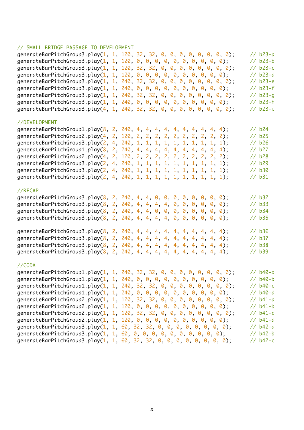## // SMALL BRIDGE PASSAGE TO DEVELOPMENT

| generateBarPitchGroup3.play(1, 1, 120, 32, 32, 0, 0, 0, 0, 0, 0, 0, 0);  |  |  |  | $// b23-a$        |  |
|--------------------------------------------------------------------------|--|--|--|-------------------|--|
| generateBarPitchGroup3.play(1, 1, 120, 0, 0, 0, 0, 0, 0, 0, 0, 0, 0);    |  |  |  | // b23-b          |  |
| generateBarPitchGroup3.play(1, 1, 120, 32, 32, 0, 0, 0, 0, 0, 0, 0, 0);  |  |  |  | $// b23-c$        |  |
| generateBarPitchGroup3.play(1, 1, 120, 0, 0, 0, 0, 0, 0, 0, 0, 0, 0);    |  |  |  | $// b23-d$        |  |
| generateBarPitchGroup3.play(1, 1, 240, 32, 32, 0, 0, 0, 0, 0, 0, 0, 0);  |  |  |  | $// b23-e$        |  |
| generateBarPitchGroup3.play(1, 1, 240, 0, 0, 0, 0, 0, 0, 0, 0, 0, 0);    |  |  |  | // b23-f          |  |
| generateBarPitchGroup3.play(1, 1, 240, 32, 32, 0, 0, 0, 0, 0, 0, 0, 0);  |  |  |  | $1/$ b23-g        |  |
| generateBarPitchGroup3.play(1, 1, 240, 0, 0, 0, 0, 0, 0, 0, 0, 0, 0);    |  |  |  | // b23-h          |  |
| generateBarPitchGroup3.play(4, 1, 240, 32, 32, 0, 0, 0, 0, 0, 0, 0, 0);  |  |  |  | // b23-i          |  |
| //DEVELOPMENT                                                            |  |  |  |                   |  |
| generateBarPitchGroup1.play(8, 2, 240, 4, 4, 4, 4, 4, 4, 4, 4, 4, 4);    |  |  |  | // b24            |  |
| generateBarPitchGroup2.play(4, 2, 120, 2, 2, 2, 2, 2, 2, 2, 2, 2, 2);    |  |  |  | // b25            |  |
| generateBarPitchGroup3.play(2, 4, 240, 1, 1, 1, 1, 1, 1, 1, 1, 1, 1, 1); |  |  |  | // b26            |  |
| generateBarPitchGroup1.play(8, 2, 240, 4, 4, 4, 4, 4, 4, 4, 4, 4, 4);    |  |  |  | // b27            |  |
| generateBarPitchGroup2.play(4, 2, 120, 2, 2, 2, 2, 2, 2, 2, 2, 2, 2);    |  |  |  | // b28            |  |
| generateBarPitchGroup3.play(2, 4, 240, 1, 1, 1, 1, 1, 1, 1, 1, 1, 1);    |  |  |  | // b29            |  |
| generateBarPitchGroup3.play(2, 4, 240, 1, 1, 1, 1, 1, 1, 1, 1, 1, 1, 1); |  |  |  | // b30            |  |
| generateBarPitchGroup3.play(2, 4, 240, 1, 1, 1, 1, 1, 1, 1, 1, 1, 1);    |  |  |  | // b31            |  |
| //RECAP                                                                  |  |  |  |                   |  |
| generateBarPitchGroup3.play(8, 2, 240, 4, 4, 0, 0, 0, 0, 0, 0, 0, 0);    |  |  |  | // b32            |  |
| generateBarPitchGroup3.play(8, 2, 240, 4, 4, 4, 4, 0, 0, 0, 0, 0, 0);    |  |  |  | // b33            |  |
| generateBarPitchGroup3.play(8, 2, 240, 4, 4, 0, 0, 0, 0, 0, 0, 0, 0);    |  |  |  | // b34            |  |
| generateBarPitchGroup3.play(8, 2, 240, 4, 4, 4, 4, 0, 0, 0, 0, 0, 0);    |  |  |  | // b35            |  |
|                                                                          |  |  |  |                   |  |
| generateBarPitchGroup3.play(8, 2, 240, 4, 4, 4, 4, 4, 4, 4, 4, 4, 4);    |  |  |  | // <sub>b36</sub> |  |
| generateBarPitchGroup3.play(8, 2, 240, 4, 4, 4, 4, 4, 4, 4, 4, 4, 4);    |  |  |  | // b37            |  |
| generateBarPitchGroup3.play(8, 2, 240, 4, 4, 4, 4, 4, 4, 4, 4, 4, 4);    |  |  |  | // b38            |  |
| generateBarPitchGroup3.play(8, 2, 240, 4, 4, 4, 4, 4, 4, 4, 4, 4, 4);    |  |  |  | // b39            |  |
| //CODA                                                                   |  |  |  |                   |  |
| generateBarPitchGroup1.play(1, 1, 240, 32, 32, 0, 0, 0, 0, 0, 0, 0, 0);  |  |  |  | $// b40-a$        |  |
| generateBarPitchGroup1.play(1, 1, 240, 0, 0, 0, 0, 0, 0, 0, 0, 0, 0);    |  |  |  | $// b40-b$        |  |
| generateBarPitchGroup1.play(1, 1, 240, 32, 32, 0, 0, 0, 0, 0, 0, 0, 0);  |  |  |  | $// b40-c$        |  |
| generateBarPitchGroup1.play(1, 1, 240, 0, 0, 0, 0, 0, 0, 0, 0, 0, 0);    |  |  |  | $1/1$ b40-d       |  |
| generateBarPitchGroup2.play(1, 1, 120, 32, 32, 0, 0, 0, 0, 0, 0, 0, 0);  |  |  |  | $// b41-a$        |  |
| generateBarPitchGroup2.play(1, 1, 120, 0, 0, 0, 0, 0, 0, 0, 0, 0, 0);    |  |  |  | $// b41-b$        |  |
| generateBarPitchGroup2.play(1, 1, 120, 32, 32, 0, 0, 0, 0, 0, 0, 0, 0);  |  |  |  | $// b41-c$        |  |
| generateBarPitchGroup2.play(1, 1, 120, 0, 0, 0, 0, 0, 0, 0, 0, 0, 0);    |  |  |  | $//$ b41-d        |  |
| generateBarPitchGroup3.play(1, 1, 60, 32, 32, 0, 0, 0, 0, 0, 0, 0, 0);   |  |  |  | $// b42-a$        |  |
| generateBarPitchGroup3.play(1, 1, 60, 0, 0, 0, 0, 0, 0, 0, 0, 0, 0);     |  |  |  | $// b42-b$        |  |
| generateBarPitchGroup3.play(1, 1, 60, 32, 32, 0, 0, 0, 0, 0, 0, 0, 0);   |  |  |  | $// b42-c$        |  |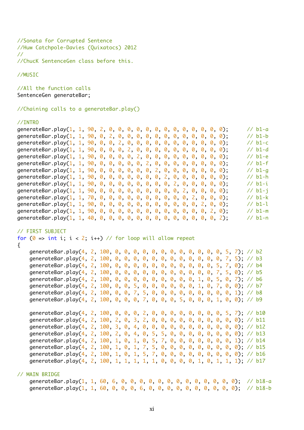```
//Sonata for Corrupted Sentence
//Huw Catchpole-Davies (Quixatocs) 2012
//
//ChucK SentenceGen class before this.
```
//MUSIC

```
//All the function calls
SentenceGen generateBar;
```
//Chaining calls to a generateBar.play()

## //INTRO

| generateBar.play(1, 1, 90, 2, 0, 0, 0, 0, 0, 0, 0, 0, 0, 0, 0, 0, 0); |  |  |  |  |  |  |  |  |  | $// b1-a$ |
|-----------------------------------------------------------------------|--|--|--|--|--|--|--|--|--|-----------|
| generateBar.play(1, 1, 90, 0, 2, 0, 0, 0, 0, 0, 0, 0, 0, 0, 0, 0, 0); |  |  |  |  |  |  |  |  |  | $// b1-b$ |
| generateBar.play(1, 1, 90, 0, 0, 2, 0, 0, 0, 0, 0, 0, 0, 0, 0, 0, 0); |  |  |  |  |  |  |  |  |  | $// b1-c$ |
| generateBar.play(1, 1, 90, 0, 0, 0, 2, 0, 0, 0, 0, 0, 0, 0, 0, 0, 0); |  |  |  |  |  |  |  |  |  | $// b1-d$ |
| generateBar.play(1, 1, 90, 0, 0, 0, 0, 2, 0, 0, 0, 0, 0, 0, 0, 0, 0); |  |  |  |  |  |  |  |  |  | $// b1-e$ |
| generateBar.play(1, 1, 90, 0, 0, 0, 0, 0, 2, 0, 0, 0, 0, 0, 0, 0, 0); |  |  |  |  |  |  |  |  |  | $// b1-f$ |
| generateBar.play(1, 1, 90, 0, 0, 0, 0, 0, 0, 2, 0, 0, 0, 0, 0, 0, 0); |  |  |  |  |  |  |  |  |  | $// b1-q$ |
| generateBar.play(1, 1, 90, 0, 0, 0, 0, 0, 0, 0, 2, 0, 0, 0, 0, 0, 0); |  |  |  |  |  |  |  |  |  | $// b1-h$ |
| generateBar.play(1, 1, 90, 0, 0, 0, 0, 0, 0, 0, 0, 2, 0, 0, 0, 0, 0); |  |  |  |  |  |  |  |  |  | $// b1-i$ |
| generateBar.play(1, 1, 90, 0, 0, 0, 0, 0, 0, 0, 0, 0, 2, 0, 0, 0, 0); |  |  |  |  |  |  |  |  |  | $// b1-j$ |
| generateBar.play(1, 1, 70, 0, 0, 0, 0, 0, 0, 0, 0, 0, 0, 2, 0, 0, 0); |  |  |  |  |  |  |  |  |  | $// b1-k$ |
| generateBar.play(1, 1, 90, 0, 0, 0, 0, 0, 0, 0, 0, 0, 0, 0, 2, 0, 0); |  |  |  |  |  |  |  |  |  | $// b1-l$ |
| generateBar.play(1, 1, 90, 0, 0, 0, 0, 0, 0, 0, 0, 0, 0, 0, 0, 2, 0); |  |  |  |  |  |  |  |  |  | $// b1-m$ |
|                                                                       |  |  |  |  |  |  |  |  |  | $// b1-n$ |

### // FIRST SUBJECT

for ( $0 \Rightarrow \text{int } i$ ;  $i < 2$ ;  $i++)$  // for loop will allow repeat

```
\{
```

```
 generateBar.play(4, 2, 100, 0, 0, 0, 0, 0, 0, 0, 0, 0, 0, 0, 0, 5, 7); // b2
 generateBar.play(4, 2, 100, 0, 0, 0, 0, 0, 0, 0, 0, 0, 0, 0, 0, 7, 5); // b3
 generateBar.play(4, 2, 100, 0, 0, 0, 0, 0, 0, 0, 0, 0, 0, 0, 5, 7, 0); // b4
 generateBar.play(4, 2, 100, 0, 0, 0, 0, 0, 0, 0, 0, 0, 0, 0, 7, 5, 0); // b5
 generateBar.play(4, 2, 100, 0, 0, 0, 0, 0, 0, 0, 0, 0, 1, 0, 5, 0, 7); // b6
 generateBar.play(4, 2, 100, 0, 0, 5, 0, 0, 0, 0, 0, 0, 1, 0, 7, 0, 0); // b7
 generateBar.play(4, 2, 100, 0, 0, 7, 5, 0, 0, 0, 0, 0, 0, 0, 0, 0, 1); // b8
 generateBar.play(4, 2, 100, 0, 0, 0, 7, 0, 0, 0, 5, 0, 0, 0, 1, 0, 0); // b9
generateBar.play(4, 2, 100, 0, 0, 0, 2, 0, 0, 0, 0, 0, 0, 0, 0, 5, 7); // b10
 generateBar.play(4, 2, 100, 2, 0, 3, 2, 0, 0, 0, 0, 0, 0, 0, 0, 0, 0); // b11
generateBar.play(4, 2, 100, 3, 0, 4, 0, 0, 0, 0, 0, 0, 0, 0, 0, 0, 0); // b12
 generateBar.play(4, 2, 100, 2, 0, 4, 0, 5, 5, 0, 0, 0, 0, 0, 0, 0, 0); // b13
 generateBar.play(4, 2, 100, 1, 0, 1, 0, 5, 7, 0, 0, 0, 0, 0, 0, 0, 1); // b14
 generateBar.play(4, 2, 100, 1, 0, 1, 7, 5, 0, 0, 0, 0, 0, 0, 0, 0, 0); // b15
 generateBar.play(4, 2, 100, 1, 0, 1, 5, 7, 0, 0, 0, 0, 0, 0, 0, 0, 0); // b16
generateBar.play(4, 2, 100, 1, 1, 1, 1, 1, 0, 0, 0, 0, 1, 0, 1, 1, 1); // b17
```
#### // MAIN BRIDGE

 generateBar.play(1, 1, 60, 6, 0, 0, 0, 0, 0, 0, 0, 0, 0, 0, 0, 0, 0); // b18-a generateBar.play(1, 1, 60, 0, 0, 0, 6, 0, 0, 0, 0, 0, 0, 0, 0, 0, 0); // b18-b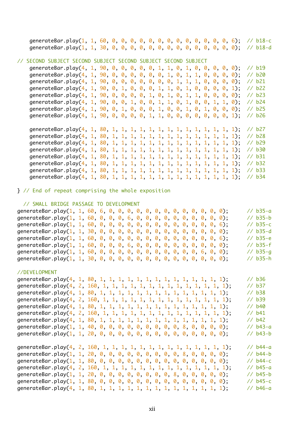generateBar.play(1, 1, 60, 0, 0, 0, 0, 0, 0, 0, 0, 0, 0, 0, 0, 0, 6); // b18-c generateBar.play(1, 1, 30, 0, 0, 0, 0, 0, 0, 0, 0, 0, 0, 0, 0, 0, 0); // b18-d

## // SECOND SUBJECT SECOND SUBJECT SECOND SUBJECT SECOND SUBJECT

generateBar.play(4, 1, 90, 0, 0, 0, 0, 0, 1, 1, 0, 1, 0, 0, 0, 0, 0); // b19 generateBar.play(4, 1, 90, 0, 0, 0, 0, 0, 0, 1, 0, 1, 1, 0, 0, 0, 0); // b20 generateBar.play(4, 1, 90, 0, 0, 0, 0, 0, 0, 0, 1, 1, 1, 0, 0, 0, 0); // b21 generateBar.play(4, 1, 90, 0, 1, 0, 0, 0, 1, 1, 0, 1, 0, 0, 0, 0, 1); // b22 generateBar.play(4, 1, 90, 0, 0, 0, 0, 1, 0, 1, 0, 1, 1, 0, 0, 0, 0); // b23 generateBar.play(4, 1, 90, 0, 0, 1, 0, 0, 1, 1, 0, 1, 0, 0, 1, 1, 0); // b24 generateBar.play(4, 1, 90, 0, 1, 0, 0, 0, 1, 0, 0, 1, 0, 1, 0, 0, 0); // b25 generateBar.play(4, 1, 90, 0, 0, 0, 0, 1, 1, 0, 0, 0, 0, 0, 0, 0, 1); // b26

 generateBar.play(4, 1, 80, 1, 1, 1, 1, 1, 1, 1, 1, 1, 1, 1, 1, 1, 1); // b27 generateBar.play(4, 1, 80, 1, 1, 1, 1, 1, 1, 1, 1, 1, 1, 1, 1, 1, 1); // b28 generateBar.play(4, 1, 80, 1, 1, 1, 1, 1, 1, 1, 1, 1, 1, 1, 1, 1, 1); // b29 generateBar.play(4, 1, 80, 1, 1, 1, 1, 1, 1, 1, 1, 1, 1, 1, 1, 1, 1); // b30 generateBar.play(4, 1, 80, 1, 1, 1, 1, 1, 1, 1, 1, 1, 1, 1, 1, 1, 1); // b31 generateBar.play(4, 1, 80, 1, 1, 1, 1, 1, 1, 1, 1, 1, 1, 1, 1, 1, 1); // b32 generateBar.play(4, 1, 80, 1, 1, 1, 1, 1, 1, 1, 1, 1, 1, 1, 1, 1, 1); // b33 generateBar.play(4, 1, 80, 1, 1, 1, 1, 1, 1, 1, 1, 1, 1, 1, 1, 1, 1); // b34

} // End of repeat comprising the whole exposition

### // SMALL BRIDGE PASSAGE TO DEVELOPMENT

| generateBar.play(1, 1, 60, 6, 0, 0, 0, 0, 0, 0, 0, 0, 0, 0, 0, 0, 0); |  |  |  |  |  |  |  |  |  | $\frac{7}{6}$ b35-a  |
|-----------------------------------------------------------------------|--|--|--|--|--|--|--|--|--|----------------------|
| generateBar.play(1, 1, 60, 0, 0, 0, 6, 0, 0, 0, 0, 0, 0, 0, 0, 0, 0); |  |  |  |  |  |  |  |  |  | $// b35-b$           |
|                                                                       |  |  |  |  |  |  |  |  |  | $\frac{7}{16}$ b35-c |
|                                                                       |  |  |  |  |  |  |  |  |  | $\frac{7}{16}$ b35-d |
|                                                                       |  |  |  |  |  |  |  |  |  | $\frac{7}{16}$ b35-e |
| qenerateBar.play(1, 1, 60, 0, 0, 0, 6, 0, 0, 0, 0, 0, 0, 0, 0, 0, 0); |  |  |  |  |  |  |  |  |  | $// b35-f$           |
| generateBar.play(1, 1, 60, 0, 0, 0, 0, 0, 0, 0, 0, 0, 0, 0, 6, 0, 0); |  |  |  |  |  |  |  |  |  | $1/$ b35-g           |
|                                                                       |  |  |  |  |  |  |  |  |  | $// b35-h$           |

#### //DEVELOPMENT

|  |                                                                       | // b36     |
|--|-----------------------------------------------------------------------|------------|
|  |                                                                       | // b37     |
|  |                                                                       | $//$ b38   |
|  |                                                                       | // b39     |
|  |                                                                       | // b40     |
|  |                                                                       | // b41     |
|  |                                                                       | // b42     |
|  | generateBar.play(1, 1, 40, 0, 0, 0, 0, 0, 0, 0, 0, 0, 8, 0, 0, 0, 0); | $// b43-a$ |
|  |                                                                       | $// b43-b$ |
|  |                                                                       | $// b44-a$ |
|  | generateBar.play(1, 1, 20, 0, 0, 0, 0, 0, 0, 0, 0, 0, 8, 0, 0, 0, 0); | $// b44-b$ |
|  |                                                                       | $// b44-c$ |
|  |                                                                       | $// b45-a$ |

generateBar.play(1, 1, 20, 0, 0, 0, 0, 0, 0, 0, 0, 8, 0, 0, 0, 0, 0); // b45-b generateBar.play(1, 1, 80, 0, 0, 0, 0, 0, 0, 0, 0, 0, 0, 0, 0, 0, 0); // b45-c generateBar.play(4, 1, 80, 1, 1, 1, 1, 1, 1, 1, 1, 1, 1, 1, 1, 1, 1); // b46-a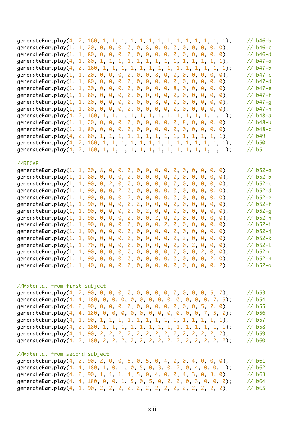|  |                                                                       | $// b46-b$         |
|--|-----------------------------------------------------------------------|--------------------|
|  | generateBar.play(1, 1, 20, 0, 0, 0, 0, 0, 8, 0, 0, 0, 0, 0, 0, 0, 0); | $// b46-c$         |
|  |                                                                       | $// b46-d$         |
|  |                                                                       | // b47-a           |
|  |                                                                       | // b47-b           |
|  | generateBar.play(1, 1, 20, 0, 0, 0, 0, 0, 0, 8, 0, 0, 0, 0, 0, 0, 0); | // b47-c           |
|  |                                                                       | // b47-d           |
|  | generateBar.play(1, 1, 20, 0, 0, 0, 0, 0, 0, 0, 0, 8, 0, 0, 0, 0, 0); | $// b47-e$         |
|  |                                                                       | $// b47-f$         |
|  | generateBar.play(1, 1, 20, 0, 0, 0, 0, 0, 0, 8, 0, 0, 0, 0, 0, 0, 0); | $1/$ b47-g         |
|  |                                                                       | // b47-h           |
|  |                                                                       | $// b48-a$         |
|  | generateBar.play(1, 1, 20, 0, 0, 0, 0, 0, 0, 0, 0, 0, 8, 0, 0, 0, 0); | $// b48-b$         |
|  |                                                                       | $// b48-c$         |
|  |                                                                       | $1/$ b49           |
|  |                                                                       | $\frac{7}{6}$ b50  |
|  |                                                                       | $\frac{7}{16}$ b51 |
|  |                                                                       |                    |
|  |                                                                       |                    |

#### //RECAP

| generateBar.play(1, 1, 20, 8, 0, 0, 0, 0, 0, 0, 0, 0, 0, 0, 0, 0, 0);    |  |  |  |  |  |  |  |  |  | $// b52-a$           |
|--------------------------------------------------------------------------|--|--|--|--|--|--|--|--|--|----------------------|
|                                                                          |  |  |  |  |  |  |  |  |  | $// b52-b$           |
| generateBar.play(1, 1, 90, 0, 2, 0, 0, 0, 0, 0, 0, 0, 0, 0, 0, 0, 0, 0); |  |  |  |  |  |  |  |  |  | $// b52-c$           |
| generateBar.play(1, 1, 90, 0, 0, 2, 0, 0, 0, 0, 0, 0, 0, 0, 0, 0, 0, 0); |  |  |  |  |  |  |  |  |  | $// b52-d$           |
| generateBar.play(1, 1, 90, 0, 0, 0, 2, 0, 0, 0, 0, 0, 0, 0, 0, 0, 0, 0); |  |  |  |  |  |  |  |  |  | $// b52-e$           |
| generateBar.play(1, 1, 90, 0, 0, 0, 0, 2, 0, 0, 0, 0, 0, 0, 0, 0, 0);    |  |  |  |  |  |  |  |  |  | $// b52-f$           |
| generateBar.play(1, 1, 90, 0, 0, 0, 0, 0, 2, 0, 0, 0, 0, 0, 0, 0, 0);    |  |  |  |  |  |  |  |  |  | $1/1$ b52-g          |
| generateBar.play(1, 1, 90, 0, 0, 0, 0, 0, 0, 2, 0, 0, 0, 0, 0, 0, 0);    |  |  |  |  |  |  |  |  |  | $// b52-h$           |
| generateBar.play(1, 1, 90, 0, 0, 0, 0, 0, 0, 0, 2, 0, 0, 0, 0, 0, 0);    |  |  |  |  |  |  |  |  |  | $\frac{7}{16}$ b52-i |
| generateBar.play(1, 1, 90, 0, 0, 0, 0, 0, 0, 0, 0, 2, 0, 0, 0, 0, 0);    |  |  |  |  |  |  |  |  |  | $// b52-i$           |
| generateBar.play(1, 1, 90, 0, 0, 0, 0, 0, 0, 0, 0, 0, 2, 0, 0, 0, 0);    |  |  |  |  |  |  |  |  |  | $// b52-k$           |
| generateBar.play(1, 1, 70, 0, 0, 0, 0, 0, 0, 0, 0, 0, 0, 2, 0, 0, 0);    |  |  |  |  |  |  |  |  |  | $// b52-1$           |
| generateBar.play(1, 1, 90, 0, 0, 0, 0, 0, 0, 0, 0, 0, 0, 0, 2, 0, 0);    |  |  |  |  |  |  |  |  |  | $// b52-m$           |
| generateBar.play(1, 1, 90, 0, 0, 0, 0, 0, 0, 0, 0, 0, 0, 0, 0, 2, 0);    |  |  |  |  |  |  |  |  |  | $1/1$ b52-n          |
|                                                                          |  |  |  |  |  |  |  |  |  | $1/1$ b52-o          |
|                                                                          |  |  |  |  |  |  |  |  |  |                      |

#### //Material from first subject

|  | generateBar.play(4, 2, 90, 0, 0, 0, 0, 0, 0, 0, 0, 0, 0, 0, 0, 5, 7);  | $\frac{7}{6}$ b53  |
|--|------------------------------------------------------------------------|--------------------|
|  | generateBar.play(4, 4, 180, 0, 0, 0, 0, 0, 0, 0, 0, 0, 0, 0, 0, 7, 5); | // b54             |
|  | generateBar.play(4, 2, 90, 0, 0, 0, 0, 0, 0, 0, 0, 0, 0, 0, 5, 7, 0);  | // b55             |
|  | generateBar.play(4, 4, 180, 0, 0, 0, 0, 0, 0, 0, 0, 0, 0, 0, 7, 5, 0); | $\frac{7}{6}$ b56  |
|  |                                                                        | // b57             |
|  |                                                                        | // b58             |
|  |                                                                        | // b59             |
|  |                                                                        | $\frac{7}{60}$ b60 |

# //Material from second subject

|  | generateBar.play(4, 2, 90, 2, 0, 0, 5, 0, 5, 0, 4, 0, 0, 4, 0, 0, 0);  | $\frac{7}{6}$ b61 |
|--|------------------------------------------------------------------------|-------------------|
|  | generateBar.play(4, 4, 180, 1, 0, 1, 0, 5, 0, 3, 0, 2, 0, 4, 0, 0, 1); | $\frac{1}{62}$    |
|  | qenerateBar.play(4, 2, 90, 1, 1, 1, 4, 5, 0, 4, 0, 0, 4, 3, 0, 3, 0);  | $\frac{7}{6}$ b63 |
|  | generateBar.play(4, 4, 180, 0, 0, 1, 5, 0, 5, 0, 2, 2, 0, 3, 0, 0, 0); | $\frac{7}{664}$   |
|  |                                                                        | $\frac{7}{6}$ b65 |